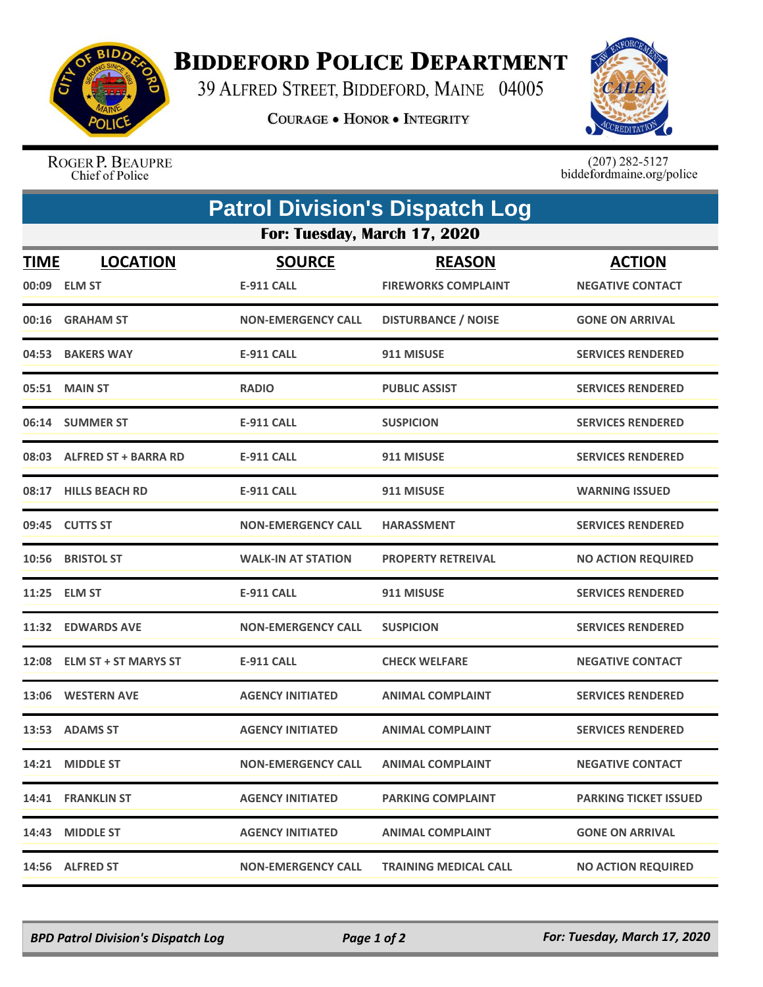

## **BIDDEFORD POLICE DEPARTMENT**

39 ALFRED STREET, BIDDEFORD, MAINE 04005

**COURAGE . HONOR . INTEGRITY** 



ROGER P. BEAUPRE<br>Chief of Police

 $(207)$  282-5127<br>biddefordmaine.org/police

| <b>Patrol Division's Dispatch Log</b> |                                  |                             |                                             |                                          |  |  |  |
|---------------------------------------|----------------------------------|-----------------------------|---------------------------------------------|------------------------------------------|--|--|--|
| For: Tuesday, March 17, 2020          |                                  |                             |                                             |                                          |  |  |  |
| <b>TIME</b><br>00:09                  | <b>LOCATION</b><br><b>ELM ST</b> | <b>SOURCE</b><br>E-911 CALL | <b>REASON</b><br><b>FIREWORKS COMPLAINT</b> | <b>ACTION</b><br><b>NEGATIVE CONTACT</b> |  |  |  |
|                                       | 00:16 GRAHAM ST                  | <b>NON-EMERGENCY CALL</b>   | <b>DISTURBANCE / NOISE</b>                  | <b>GONE ON ARRIVAL</b>                   |  |  |  |
|                                       | 04:53 BAKERS WAY                 | <b>E-911 CALL</b>           | 911 MISUSE                                  | <b>SERVICES RENDERED</b>                 |  |  |  |
| 05:51                                 | <b>MAIN ST</b>                   | <b>RADIO</b>                | <b>PUBLIC ASSIST</b>                        | <b>SERVICES RENDERED</b>                 |  |  |  |
|                                       | 06:14 SUMMER ST                  | <b>E-911 CALL</b>           | <b>SUSPICION</b>                            | <b>SERVICES RENDERED</b>                 |  |  |  |
|                                       | 08:03 ALFRED ST + BARRA RD       | <b>E-911 CALL</b>           | 911 MISUSE                                  | <b>SERVICES RENDERED</b>                 |  |  |  |
| 08:17                                 | <b>HILLS BEACH RD</b>            | <b>E-911 CALL</b>           | 911 MISUSE                                  | <b>WARNING ISSUED</b>                    |  |  |  |
|                                       | 09:45 CUTTS ST                   | <b>NON-EMERGENCY CALL</b>   | <b>HARASSMENT</b>                           | <b>SERVICES RENDERED</b>                 |  |  |  |
| 10:56                                 | <b>BRISTOL ST</b>                | <b>WALK-IN AT STATION</b>   | <b>PROPERTY RETREIVAL</b>                   | <b>NO ACTION REQUIRED</b>                |  |  |  |
| 11:25                                 | <b>ELM ST</b>                    | <b>E-911 CALL</b>           | 911 MISUSE                                  | <b>SERVICES RENDERED</b>                 |  |  |  |
| 11:32                                 | <b>EDWARDS AVE</b>               | <b>NON-EMERGENCY CALL</b>   | <b>SUSPICION</b>                            | <b>SERVICES RENDERED</b>                 |  |  |  |
| 12:08                                 | <b>ELM ST + ST MARYS ST</b>      | <b>E-911 CALL</b>           | <b>CHECK WELFARE</b>                        | <b>NEGATIVE CONTACT</b>                  |  |  |  |
| 13:06                                 | <b>WESTERN AVE</b>               | <b>AGENCY INITIATED</b>     | <b>ANIMAL COMPLAINT</b>                     | <b>SERVICES RENDERED</b>                 |  |  |  |
| 13:53                                 | <b>ADAMS ST</b>                  | <b>AGENCY INITIATED</b>     | <b>ANIMAL COMPLAINT</b>                     | <b>SERVICES RENDERED</b>                 |  |  |  |
|                                       | 14:21 MIDDLE ST                  | <b>NON-EMERGENCY CALL</b>   | <b>ANIMAL COMPLAINT</b>                     | <b>NEGATIVE CONTACT</b>                  |  |  |  |
|                                       | 14:41 FRANKLIN ST                | <b>AGENCY INITIATED</b>     | <b>PARKING COMPLAINT</b>                    | <b>PARKING TICKET ISSUED</b>             |  |  |  |
|                                       | 14:43 MIDDLE ST                  | <b>AGENCY INITIATED</b>     | <b>ANIMAL COMPLAINT</b>                     | <b>GONE ON ARRIVAL</b>                   |  |  |  |
|                                       | 14:56 ALFRED ST                  | <b>NON-EMERGENCY CALL</b>   | <b>TRAINING MEDICAL CALL</b>                | <b>NO ACTION REQUIRED</b>                |  |  |  |